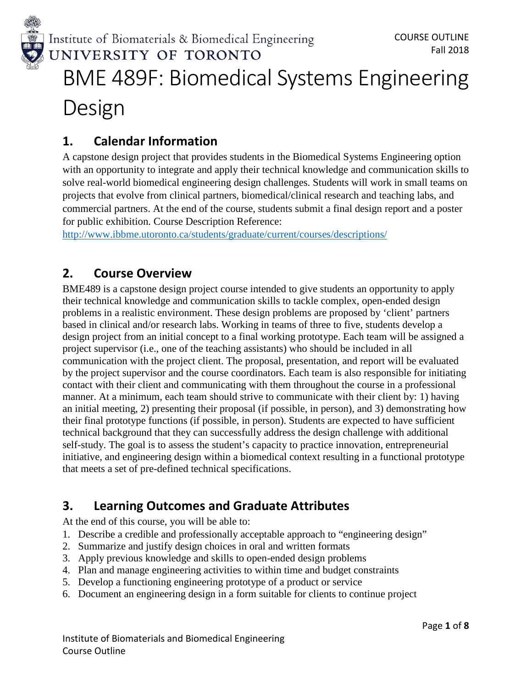

## **1. Calendar Information**

A capstone design project that provides students in the Biomedical Systems Engineering option with an opportunity to integrate and apply their technical knowledge and communication skills to solve real-world biomedical engineering design challenges. Students will work in small teams on projects that evolve from clinical partners, biomedical/clinical research and teaching labs, and commercial partners. At the end of the course, students submit a final design report and a poster for public exhibition. Course Description Reference:

<http://www.ibbme.utoronto.ca/students/graduate/current/courses/descriptions/>

## **2. Course Overview**

BME489 is a capstone design project course intended to give students an opportunity to apply their technical knowledge and communication skills to tackle complex, open-ended design problems in a realistic environment. These design problems are proposed by 'client' partners based in clinical and/or research labs. Working in teams of three to five, students develop a design project from an initial concept to a final working prototype. Each team will be assigned a project supervisor (i.e., one of the teaching assistants) who should be included in all communication with the project client. The proposal, presentation, and report will be evaluated by the project supervisor and the course coordinators. Each team is also responsible for initiating contact with their client and communicating with them throughout the course in a professional manner. At a minimum, each team should strive to communicate with their client by: 1) having an initial meeting, 2) presenting their proposal (if possible, in person), and 3) demonstrating how their final prototype functions (if possible, in person). Students are expected to have sufficient technical background that they can successfully address the design challenge with additional self-study. The goal is to assess the student's capacity to practice innovation, entrepreneurial initiative, and engineering design within a biomedical context resulting in a functional prototype that meets a set of pre-defined technical specifications.

## **3. Learning Outcomes and Graduate Attributes**

At the end of this course, you will be able to:

- 1. Describe a credible and professionally acceptable approach to "engineering design"
- 2. Summarize and justify design choices in oral and written formats
- 3. Apply previous knowledge and skills to open-ended design problems
- 4. Plan and manage engineering activities to within time and budget constraints
- 5. Develop a functioning engineering prototype of a product or service
- 6. Document an engineering design in a form suitable for clients to continue project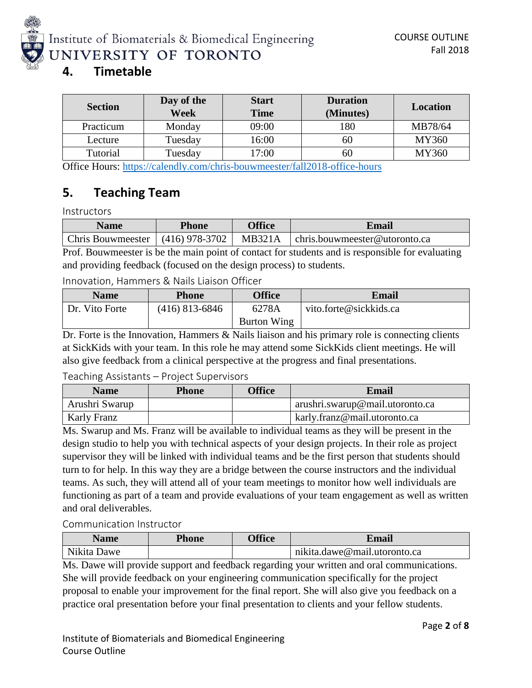

### **4. Timetable**

| <b>Section</b> | Day of the<br><b>Week</b> | <b>Start</b><br><b>Time</b> | <b>Duration</b><br>(Minutes) | <b>Location</b> |
|----------------|---------------------------|-----------------------------|------------------------------|-----------------|
| Practicum      | Monday                    | 09:00                       | 180                          | MB78/64         |
| Lecture        | Tuesday                   | 16:00                       | 60                           | MY360           |
| Tutorial       | Tuesday                   | 17:00                       | 60                           | MY360           |

Office Hours:<https://calendly.com/chris-bouwmeester/fall2018-office-hours>

### **5. Teaching Team**

**Instructors** 

| <b>Name</b>              | Phone            | <b>Office</b> | Email                                 |
|--------------------------|------------------|---------------|---------------------------------------|
| <b>Chris Bouwmeester</b> | $(416)$ 978-3702 | <b>MB321A</b> | $\vert$ chris.bouwmeester@utoronto.ca |

Prof. Bouwmeester is be the main point of contact for students and is responsible for evaluating and providing feedback (focused on the design process) to students.

#### Innovation, Hammers & Nails Liaison Officer

| <b>Name</b>    | Phone            | <b>Office</b>      | Email                  |
|----------------|------------------|--------------------|------------------------|
| Dr. Vito Forte | $(416)$ 813-6846 | 6278A              | vito.forte@sickkids.ca |
|                |                  | <b>Burton Wing</b> |                        |

Dr. Forte is the Innovation, Hammers & Nails liaison and his primary role is connecting clients at SickKids with your team. In this role he may attend some SickKids client meetings. He will also give feedback from a clinical perspective at the progress and final presentations.

### Teaching Assistants – Project Supervisors

| <b>Name</b>    | <b>Phone</b> | <b>Office</b> | <b>Email</b>                    |
|----------------|--------------|---------------|---------------------------------|
| Arushri Swarup |              |               | arushri.swarup@mail.utoronto.ca |
| Karly Franz    |              |               | karly.franz@mail.utoronto.ca    |

Ms. Swarup and Ms. Franz will be available to individual teams as they will be present in the design studio to help you with technical aspects of your design projects. In their role as project supervisor they will be linked with individual teams and be the first person that students should turn to for help. In this way they are a bridge between the course instructors and the individual teams. As such, they will attend all of your team meetings to monitor how well individuals are functioning as part of a team and provide evaluations of your team engagement as well as written and oral deliverables.

### Communication Instructor

| Name        | <b>Phone</b> | <b>Office</b> | Email                |
|-------------|--------------|---------------|----------------------|
| Nikita Dawe |              |               | nikita.dawe@mail. 11 |

Ms. Dawe will provide support and feedback regarding your written and oral communications. She will provide feedback on your engineering communication specifically for the project proposal to enable your improvement for the final report. She will also give you feedback on a practice oral presentation before your final presentation to clients and your fellow students.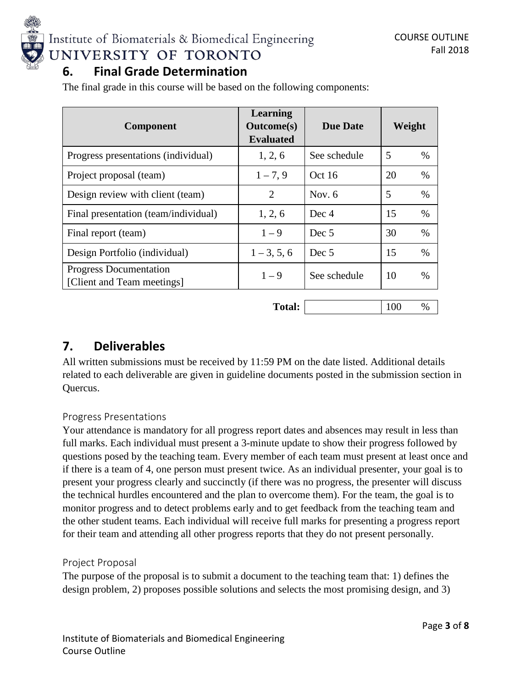

## **6. Final Grade Determination**

The final grade in this course will be based on the following components:

| <b>Component</b>                                            | Learning<br><b>Outcome</b> (s)<br><b>Evaluated</b> | <b>Due Date</b> | Weight     |
|-------------------------------------------------------------|----------------------------------------------------|-----------------|------------|
| Progress presentations (individual)                         | 1, 2, 6                                            | See schedule    | 5<br>%     |
| Project proposal (team)                                     | $1 - 7, 9$                                         | Oct16           | 20<br>%    |
| Design review with client (team)                            | 2                                                  | Nov. $6$        | 5<br>$\%$  |
| Final presentation (team/individual)                        | 1, 2, 6                                            | Dec 4           | 15<br>%    |
| Final report (team)                                         | $1 - 9$                                            | Dec 5           | 30<br>%    |
| Design Portfolio (individual)                               | $1 - 3, 5, 6$                                      | Dec 5           | 15<br>$\%$ |
| <b>Progress Documentation</b><br>[Client and Team meetings] | $1 - 9$                                            | See schedule    | 10<br>$\%$ |

**Total:** 100 %

### **7. Deliverables**

All written submissions must be received by 11:59 PM on the date listed. Additional details related to each deliverable are given in guideline documents posted in the submission section in Quercus.

### Progress Presentations

Your attendance is mandatory for all progress report dates and absences may result in less than full marks. Each individual must present a 3-minute update to show their progress followed by questions posed by the teaching team. Every member of each team must present at least once and if there is a team of 4, one person must present twice. As an individual presenter, your goal is to present your progress clearly and succinctly (if there was no progress, the presenter will discuss the technical hurdles encountered and the plan to overcome them). For the team, the goal is to monitor progress and to detect problems early and to get feedback from the teaching team and the other student teams. Each individual will receive full marks for presenting a progress report for their team and attending all other progress reports that they do not present personally.

### Project Proposal

The purpose of the proposal is to submit a document to the teaching team that: 1) defines the design problem, 2) proposes possible solutions and selects the most promising design, and 3)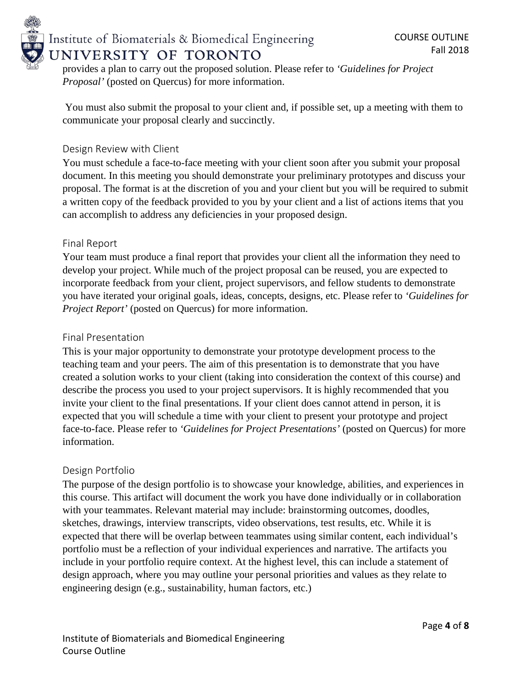

provides a plan to carry out the proposed solution. Please refer to *'Guidelines for Project Proposal'* (posted on Quercus) for more information.

You must also submit the proposal to your client and, if possible set, up a meeting with them to communicate your proposal clearly and succinctly.

### Design Review with Client

You must schedule a face-to-face meeting with your client soon after you submit your proposal document. In this meeting you should demonstrate your preliminary prototypes and discuss your proposal. The format is at the discretion of you and your client but you will be required to submit a written copy of the feedback provided to you by your client and a list of actions items that you can accomplish to address any deficiencies in your proposed design.

### Final Report

Your team must produce a final report that provides your client all the information they need to develop your project. While much of the project proposal can be reused, you are expected to incorporate feedback from your client, project supervisors, and fellow students to demonstrate you have iterated your original goals, ideas, concepts, designs, etc. Please refer to *'Guidelines for Project Report'* (posted on Quercus) for more information.

### Final Presentation

This is your major opportunity to demonstrate your prototype development process to the teaching team and your peers. The aim of this presentation is to demonstrate that you have created a solution works to your client (taking into consideration the context of this course) and describe the process you used to your project supervisors. It is highly recommended that you invite your client to the final presentations. If your client does cannot attend in person, it is expected that you will schedule a time with your client to present your prototype and project face-to-face. Please refer to *'Guidelines for Project Presentations'* (posted on Quercus) for more information.

### Design Portfolio

The purpose of the design portfolio is to showcase your knowledge, abilities, and experiences in this course. This artifact will document the work you have done individually or in collaboration with your teammates. Relevant material may include: brainstorming outcomes, doodles, sketches, drawings, interview transcripts, video observations, test results, etc. While it is expected that there will be overlap between teammates using similar content, each individual's portfolio must be a reflection of your individual experiences and narrative. The artifacts you include in your portfolio require context. At the highest level, this can include a statement of design approach, where you may outline your personal priorities and values as they relate to engineering design (e.g., sustainability, human factors, etc.)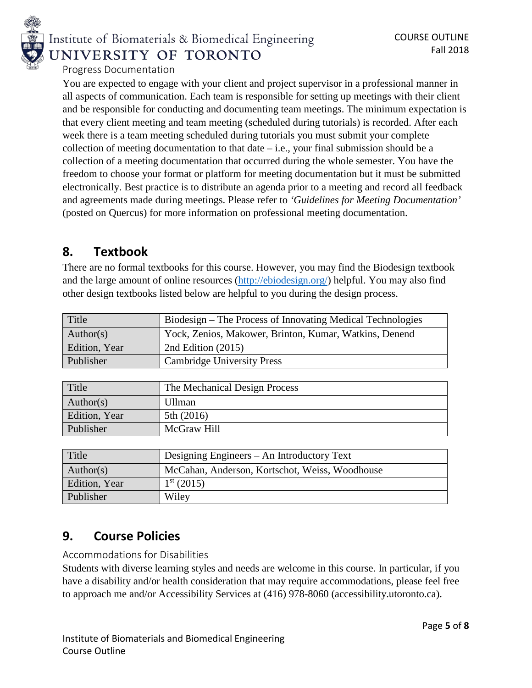

### Progress Documentation

You are expected to engage with your client and project supervisor in a professional manner in all aspects of communication. Each team is responsible for setting up meetings with their client and be responsible for conducting and documenting team meetings. The minimum expectation is that every client meeting and team meeting (scheduled during tutorials) is recorded. After each week there is a team meeting scheduled during tutorials you must submit your complete collection of meeting documentation to that date  $-$  i.e., your final submission should be a collection of a meeting documentation that occurred during the whole semester. You have the freedom to choose your format or platform for meeting documentation but it must be submitted electronically. Best practice is to distribute an agenda prior to a meeting and record all feedback and agreements made during meetings. Please refer to *'Guidelines for Meeting Documentation'* (posted on Quercus) for more information on professional meeting documentation.

### **8. Textbook**

There are no formal textbooks for this course. However, you may find the Biodesign textbook and the large amount of online resources [\(http://ebiodesign.org/\)](http://ebiodesign.org/) helpful. You may also find other design textbooks listed below are helpful to you during the design process.

| Title         | Biodesign – The Process of Innovating Medical Technologies |
|---------------|------------------------------------------------------------|
| Author(s)     | Yock, Zenios, Makower, Brinton, Kumar, Watkins, Denend     |
| Edition, Year | 2nd Edition $(2015)$                                       |
| Publisher     | <b>Cambridge University Press</b>                          |

| Title         | The Mechanical Design Process |
|---------------|-------------------------------|
| Author(s)     | <b>Ullman</b>                 |
| Edition, Year | 5th $(2016)$                  |
| Publisher     | McGraw Hill                   |

| Title         | Designing Engineers – An Introductory Text     |
|---------------|------------------------------------------------|
| Author(s)     | McCahan, Anderson, Kortschot, Weiss, Woodhouse |
| Edition, Year | $1st$ (2015)                                   |
| Publisher     | Wiley                                          |

## **9. Course Policies**

### Accommodations for Disabilities

Students with diverse learning styles and needs are welcome in this course. In particular, if you have a disability and/or health consideration that may require accommodations, please feel free to approach me and/or Accessibility Services at (416) 978-8060 (accessibility.utoronto.ca).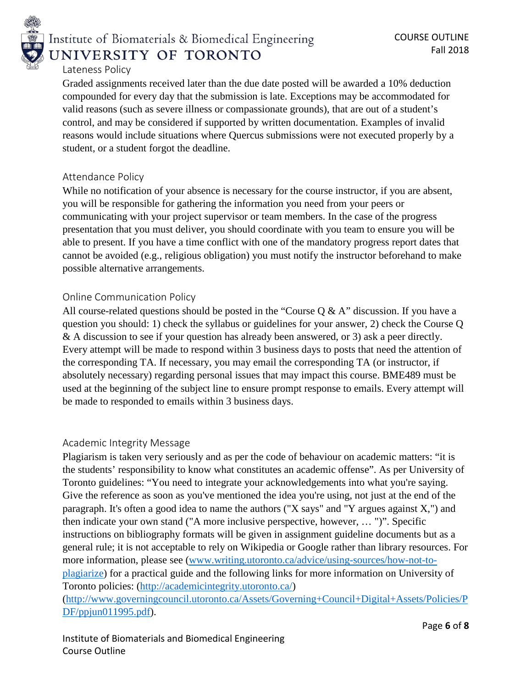

### Lateness Policy

Graded assignments received later than the due date posted will be awarded a 10% deduction compounded for every day that the submission is late. Exceptions may be accommodated for valid reasons (such as severe illness or compassionate grounds), that are out of a student's control, and may be considered if supported by written documentation. Examples of invalid reasons would include situations where Quercus submissions were not executed properly by a student, or a student forgot the deadline.

#### Attendance Policy

While no notification of your absence is necessary for the course instructor, if you are absent, you will be responsible for gathering the information you need from your peers or communicating with your project supervisor or team members. In the case of the progress presentation that you must deliver, you should coordinate with you team to ensure you will be able to present. If you have a time conflict with one of the mandatory progress report dates that cannot be avoided (e.g., religious obligation) you must notify the instructor beforehand to make possible alternative arrangements.

### Online Communication Policy

All course-related questions should be posted in the "Course  $Q & A$ " discussion. If you have a question you should: 1) check the syllabus or guidelines for your answer, 2) check the Course Q & A discussion to see if your question has already been answered, or 3) ask a peer directly. Every attempt will be made to respond within 3 business days to posts that need the attention of the corresponding TA. If necessary, you may email the corresponding TA (or instructor, if absolutely necessary) regarding personal issues that may impact this course. BME489 must be used at the beginning of the subject line to ensure prompt response to emails. Every attempt will be made to responded to emails within 3 business days.

### Academic Integrity Message

Plagiarism is taken very seriously and as per the code of behaviour on academic matters: "it is the students' responsibility to know what constitutes an academic offense". As per University of Toronto guidelines: "You need to integrate your acknowledgements into what you're saying. Give the reference as soon as you've mentioned the idea you're using, not just at the end of the paragraph. It's often a good idea to name the authors ("X says" and "Y argues against X,") and then indicate your own stand ("A more inclusive perspective, however, … ")". Specific instructions on bibliography formats will be given in assignment guideline documents but as a general rule; it is not acceptable to rely on Wikipedia or Google rather than library resources. For more information, please see (www.writing.utoronto.ca/advice/using-sources/how-not-toplagiarize) for a practical guide and the following links for more information on University of Toronto policies: [\(http://academicintegrity.utoronto.ca/\)](http://academicintegrity.utoronto.ca/) [\(http://www.governingcouncil.utoronto.ca/Assets/Governing+Council+Digital+Assets/Policies/P](http://www.governingcouncil.utoronto.ca/Assets/Governing+Council+Digital+Assets/Policies/PDF/ppjun011995.pdf) [DF/ppjun011995.pdf\)](http://www.governingcouncil.utoronto.ca/Assets/Governing+Council+Digital+Assets/Policies/PDF/ppjun011995.pdf).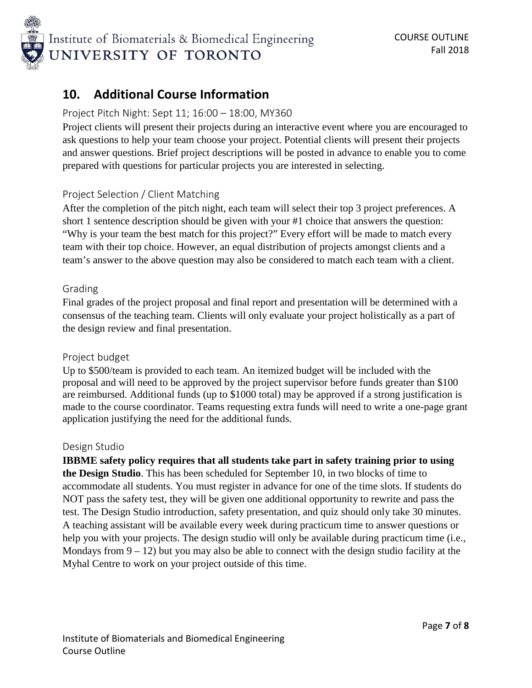

## **10. Additional Course Information**

### Project Pitch Night: Sept 11; 16:00 – 18:00, MY360

Project clients will present their projects during an interactive event where you are encouraged to ask questions to help your team choose your project. Potential clients will present their projects and answer questions. Brief project descriptions will be posted in advance to enable you to come prepared with questions for particular projects you are interested in selecting.

### Project Selection / Client Matching

After the completion of the pitch night, each team will select their top 3 project preferences. A short 1 sentence description should be given with your #1 choice that answers the question: "Why is your team the best match for this project?" Every effort will be made to match every team with their top choice. However, an equal distribution of projects amongst clients and a team's answer to the above question may also be considered to match each team with a client.

### Grading

Final grades of the project proposal and final report and presentation will be determined with a consensus of the teaching team. Clients will only evaluate your project holistically as a part of the design review and final presentation.

### Project budget

Up to \$500/team is provided to each team. An itemized budget will be included with the proposal and will need to be approved by the project supervisor before funds greater than \$100 are reimbursed. Additional funds (up to \$1000 total) may be approved if a strong justification is made to the course coordinator. Teams requesting extra funds will need to write a one-page grant application justifying the need for the additional funds.

### Design Studio

**IBBME safety policy requires that all students take part in safety training prior to using the Design Studio**. This has been scheduled for September 10, in two blocks of time to accommodate all students. You must register in advance for one of the time slots. If students do NOT pass the safety test, they will be given one additional opportunity to rewrite and pass the test. The Design Studio introduction, safety presentation, and quiz should only take 30 minutes. A teaching assistant will be available every week during practicum time to answer questions or help you with your projects. The design studio will only be available during practicum time (i.e., Mondays from  $9 - 12$ ) but you may also be able to connect with the design studio facility at the Myhal Centre to work on your project outside of this time.